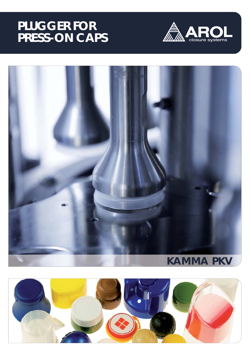## **PLUGGER FOR PRESS-ON CAPS**





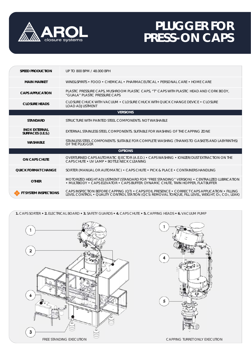

# **PLUGGER FOR PRESS-ON CAPS**

| <b>SPEED PRODUCTION</b>                   | UP TO 800 BPM / 48,000 BPH                                                                                                                                                                        |
|-------------------------------------------|---------------------------------------------------------------------------------------------------------------------------------------------------------------------------------------------------|
| <b>MAIN MARKET</b>                        | WINE&SPIRITS • FOOD • CHEMICAL • PHARMACEUTICAL • PERSONAL CARE • HOME CARE                                                                                                                       |
| <b>CAPS APPLICATION</b>                   | PLASTIC PRESSURE CAPS, MUSHROOM PLASTIC CAPS, "T" CAPS WITH PLASTIC HEAD AND CORK BODY,<br>"GUALA" PLASTIC PRESSURE CAPS                                                                          |
| <b>CLOSURE HEADS</b>                      | CLOSURE CHUCK WITH VACUUM • CLOSURE CHUCK WITH OUICK CHANGE DEVICE • CLOSURE<br><b>LOAD ADJUSTMENT</b>                                                                                            |
| <b>VERSIONS</b>                           |                                                                                                                                                                                                   |
| <b>STANDARD</b>                           | STRUCTURE WITH PAINTED STEEL COMPONENTS. NOT WASHABLE                                                                                                                                             |
| <b>INOX EXTERNAL</b><br>SURFACES (I.E.S.) | EXTERNAL STAINLESS STEEL COMPONENTS. SUITABLE FOR WASHING OF THE CAPPING ZONE                                                                                                                     |
| <b>WASHABLE</b>                           | STAINLESS STEEL COMPONENTS. SUITABLE FOR COMPLETE WASHING (THANKS TO GASKETS AND LABYRINTHS)<br>OF THE PLUGGER                                                                                    |
| <b>OPTIONS</b>                            |                                                                                                                                                                                                   |
| <b>ON CAPS CHUTE</b>                      | OVERTURNED CAPS AUTOMATIC EJECTOR (A.E.D.) • CAPS WASHING • IONIZER/DUST EXTRACTION ON THE<br>CAPS CHUTE . UV LAMP . BOTTLE NECK CLEANING                                                         |
| <b>QUICK FORMAT CHANGE</b>                | SORTER (MANUAL OR AUTOMATIC) • CAPS CHUTE • PICK & PLACE • CONTAINERS HANDLING                                                                                                                    |
| <b>OTHER</b>                              | MOTORIZED HEIGHT ADJUSTMENT (STANDARD FOR "FREE STANDING" VERSION) • CENTRALIZED LUBRICATION • MULTIBODY • CAPS ELEVATOR • CAPS BUFFER: DYNAMIC CHUTE, TWIN HOPPER, FLAT BUFFER                   |
| <b>FT SYSTEM INSPECTIONS</b>              | CAPS INSPECTION BEFORE CAPPING (QT) • CAPS/FOIL PRESENCE • CORRECT CAPS APPLICATION • FILLING<br>LEVEL CONTROL • QUALITY CONTROL STATION (QCS: REMOVAL TORQUE, FILL LEVEL, WEIGHT, O2, CO2, LEAK) |

**1.** CAPS SORTER **• 2.** ELECTRICAL BOARD **• 3.** SAFETY GUARDS **• 4.** CAPS CHUTE **• 5.** CAPPING HEADS **• 6.** VACUUM PUMP



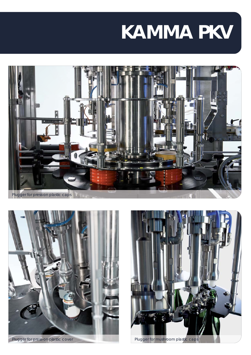# **KAMMA PKV**